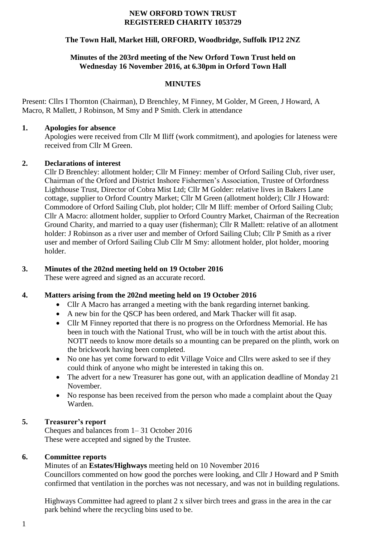#### **NEW ORFORD TOWN TRUST REGISTERED CHARITY 1053729**

## **The Town Hall, Market Hill, ORFORD, Woodbridge, Suffolk IP12 2NZ**

# **Minutes of the 203rd meeting of the New Orford Town Trust held on Wednesday 16 November 2016, at 6.30pm in Orford Town Hall**

# **MINUTES**

Present: Cllrs I Thornton (Chairman), D Brenchley, M Finney, M Golder, M Green, J Howard, A Macro, R Mallett, J Robinson, M Smy and P Smith. Clerk in attendance

#### **1. Apologies for absence**

Apologies were received from Cllr M Iliff (work commitment), and apologies for lateness were received from Cllr M Green.

## **2. Declarations of interest**

Cllr D Brenchley: allotment holder; Cllr M Finney: member of Orford Sailing Club, river user, Chairman of the Orford and District Inshore Fishermen's Association, Trustee of Orfordness Lighthouse Trust, Director of Cobra Mist Ltd; Cllr M Golder: relative lives in Bakers Lane cottage, supplier to Orford Country Market; Cllr M Green (allotment holder); Cllr J Howard: Commodore of Orford Sailing Club, plot holder; Cllr M Iliff: member of Orford Sailing Club; Cllr A Macro: allotment holder, supplier to Orford Country Market, Chairman of the Recreation Ground Charity, and married to a quay user (fisherman); Cllr R Mallett: relative of an allotment holder: J Robinson as a river user and member of Orford Sailing Club; Cllr P Smith as a river user and member of Orford Sailing Club Cllr M Smy: allotment holder, plot holder, mooring holder.

## **3. Minutes of the 202nd meeting held on 19 October 2016**

These were agreed and signed as an accurate record.

## **4. Matters arising from the 202nd meeting held on 19 October 2016**

- Cllr A Macro has arranged a meeting with the bank regarding internet banking.
- A new bin for the QSCP has been ordered, and Mark Thacker will fit asap.
- Cllr M Finney reported that there is no progress on the Orfordness Memorial. He has been in touch with the National Trust, who will be in touch with the artist about this. NOTT needs to know more details so a mounting can be prepared on the plinth, work on the brickwork having been completed.
- No one has yet come forward to edit Village Voice and Cllrs were asked to see if they could think of anyone who might be interested in taking this on.
- The advert for a new Treasurer has gone out, with an application deadline of Monday 21 November.
- No response has been received from the person who made a complaint about the Quay Warden.

## **5. Treasurer's report**

Cheques and balances from 1– 31 October 2016 These were accepted and signed by the Trustee.

## **6. Committee reports**

Minutes of an **Estates/Highways** meeting held on 10 November 2016 Councillors commented on how good the porches were looking, and Cllr J Howard and P Smith confirmed that ventilation in the porches was not necessary, and was not in building regulations.

Highways Committee had agreed to plant 2 x silver birch trees and grass in the area in the car park behind where the recycling bins used to be.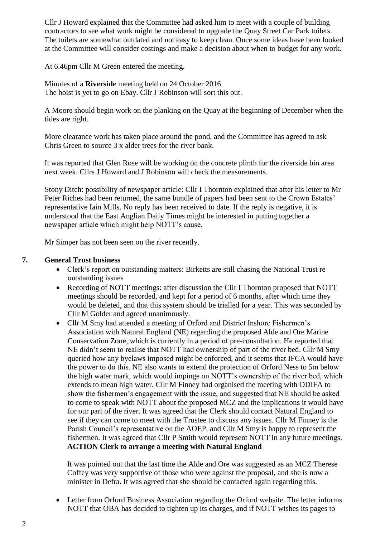Cllr J Howard explained that the Committee had asked him to meet with a couple of building contractors to see what work might be considered to upgrade the Quay Street Car Park toilets. The toilets are somewhat outdated and not easy to keep clean. Once some ideas have been looked at the Committee will consider costings and make a decision about when to budget for any work.

At 6.46pm Cllr M Green entered the meeting.

Minutes of a **Riverside** meeting held on 24 October 2016 The hoist is yet to go on Ebay. Cllr J Robinson will sort this out.

A Moore should begin work on the planking on the Quay at the beginning of December when the tides are right.

More clearance work has taken place around the pond, and the Committee has agreed to ask Chris Green to source 3 x alder trees for the river bank.

It was reported that Glen Rose will be working on the concrete plinth for the riverside bin area next week. Cllrs J Howard and J Robinson will check the measurements.

Stony Ditch: possibility of newspaper article: Cllr I Thornton explained that after his letter to Mr Peter Riches had been returned, the same bundle of papers had been sent to the Crown Estates' representative Iain Mills. No reply has been received to date. If the reply is negative, it is understood that the East Anglian Daily Times might be interested in putting together a newspaper article which might help NOTT's cause.

Mr Simper has not been seen on the river recently.

#### **7. General Trust business**

- Clerk's report on outstanding matters: Birketts are still chasing the National Trust re outstanding issues
- Recording of NOTT meetings: after discussion the Cllr I Thornton proposed that NOTT meetings should be recorded, and kept for a period of 6 months, after which time they would be deleted, and that this system should be trialled for a year. This was seconded by Cllr M Golder and agreed unanimously.
- Cllr M Smy had attended a meeting of Orford and District Inshore Fishermen's Association with Natural England (NE) regarding the proposed Alde and Ore Marine Conservation Zone, which is currently in a period of pre-consultation. He reported that NE didn't seem to realise that NOTT had ownership of part of the river bed. Cllr M Smy queried how any byelaws imposed might be enforced, and it seems that IFCA would have the power to do this. NE also wants to extend the protection of Orford Ness to 5m below the high water mark, which would impinge on NOTT's ownership of the river bed, which extends to mean high water. Cllr M Finney had organised the meeting with ODIFA to show the fishermen's engagement with the issue, and suggested that NE should be asked to come to speak with NOTT about the proposed MCZ and the implications it would have for our part of the river. It was agreed that the Clerk should contact Natural England to see if they can come to meet with the Trustee to discuss any issues. Cllr M Finney is the Parish Council's representative on the AOEP, and Cllr M Smy is happy to represent the fishermen. It was agreed that Cllr P Smith would represent NOTT in any future meetings. **ACTION Clerk to arrange a meeting with Natural England**

It was pointed out that the last time the Alde and Ore was suggested as an MCZ Therese Coffey was very supportive of those who were against the proposal, and she is now a minister in Defra. It was agreed that she should be contacted again regarding this.

 Letter from Orford Business Association regarding the Orford website. The letter informs NOTT that OBA has decided to tighten up its charges, and if NOTT wishes its pages to